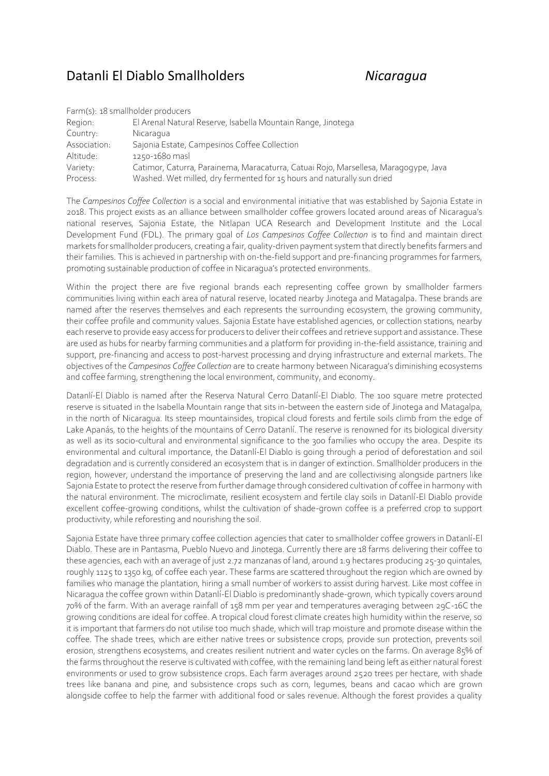## Datanli El Diablo Smallholders *Nicaragua*

| Farm(s): 18 smallholder producers |                                                                                     |
|-----------------------------------|-------------------------------------------------------------------------------------|
| Region:                           | El Arenal Natural Reserve, Isabella Mountain Range, Jinotega                        |
| Country:                          | Nicaragua                                                                           |
| Association:                      | Sajonia Estate, Campesinos Coffee Collection                                        |
| Altitude:                         | 1250-1680 masl                                                                      |
| Variety:                          | Catimor, Caturra, Parainema, Maracaturra, Catuai Rojo, Marsellesa, Maragogype, Java |
| Process:                          | Washed. Wet milled, dry fermented for 15 hours and naturally sun dried              |

The *Campesinos Coffee Collection* is a social and environmental initiative that was established by Sajonia Estate in 2018. This project exists as an alliance between smallholder coffee growers located around areas of Nicaragua's national reserves, Sajonia Estate, the Nitlapan UCA Research and Development Institute and the Local Development Fund (FDL). The primary goal of *Los Campesinos Coffee Collection* is to find and maintain direct markets for smallholder producers, creating a fair, quality-driven payment system that directly benefits farmers and their families. This is achieved in partnership with on-the-field support and pre-financing programmes for farmers, promoting sustainable production of coffee in Nicaragua's protected environments.

Within the project there are five regional brands each representing coffee grown by smallholder farmers communities living within each area of natural reserve, located nearby Jinotega and Matagalpa. These brands are named after the reserves themselves and each represents the surrounding ecosystem, the growing community, their coffee profile and community values. Sajonia Estate have established agencies, or collection stations, nearby each reserve to provide easy access for producers to deliver their coffees and retrieve support and assistance. These are used as hubs for nearby farming communities and a platform for providing in-the-field assistance, training and support, pre-financing and access to post-harvest processing and drying infrastructure and external markets. The objectives of the *Campesinos Coffee Collection* are to create harmony between Nicaragua's diminishing ecosystems and coffee farming, strengthening the local environment, community, and economy.

Datanlí-El Diablo is named after the Reserva Natural Cerro Datanlí-El Diablo. The 100 square metre protected reserve is situated in the Isabella Mountain range that sits in-between the eastern side of Jinotega and Matagalpa, in the north of Nicaragua. Its steep mountainsides, tropical cloud forests and fertile soils climb from the edge of Lake Apanás, to the heights of the mountains of Cerro Datanlí. The reserve is renowned for its biological diversity as well as its socio-cultural and environmental significance to the 300 families who occupy the area. Despite its environmental and cultural importance, the Datanlí-El Diablo is going through a period of deforestation and soil degradation and is currently considered an ecosystem that is in danger of extinction. Smallholder producers in the region, however, understand the importance of preserving the land and are collectivising alongside partners like Sajonia Estate to protect the reserve from further damage through considered cultivation of coffee in harmony with the natural environment. The microclimate, resilient ecosystem and fertile clay soils in Datanlí-El Diablo provide excellent coffee-growing conditions, whilst the cultivation of shade-grown coffee is a preferred crop to support productivity, while reforesting and nourishing the soil.

Sajonia Estate have three primary coffee collection agencies that cater to smallholder coffee growers in Datanlí-El Diablo. These are in Pantasma, Pueblo Nuevo and Jinotega. Currently there are 18 farms delivering their coffee to these agencies, each with an average of just 2.72 manzanas of land, around 1.9 hectares producing 25-30 quintales, roughly 1125 to 1350 kg, of coffee each year. These farms are scattered throughout the region which are owned by families who manage the plantation, hiring a small number of workers to assist during harvest. Like most coffee in Nicaragua the coffee grown within Datanlí-El Diablo is predominantly shade-grown, which typically covers around 70% of the farm. With an average rainfall of 158 mm per year and temperatures averaging between 29C-16C the growing conditions are ideal for coffee. A tropical cloud forest climate creates high humidity within the reserve, so it is important that farmers do not utilise too much shade, which will trap moisture and promote disease within the coffee. The shade trees, which are either native trees or subsistence crops, provide sun protection, prevents soil erosion, strengthens ecosystems, and creates resilient nutrient and water cycles on the farms. On average 85% of the farms throughout the reserve is cultivated with coffee, with the remaining land being left as either natural forest environments or used to grow subsistence crops. Each farm averages around 2520 trees per hectare, with shade trees like banana and pine, and subsistence crops such as corn, legumes, beans and cacao which are grown alongside coffee to help the farmer with additional food or sales revenue. Although the forest provides a quality